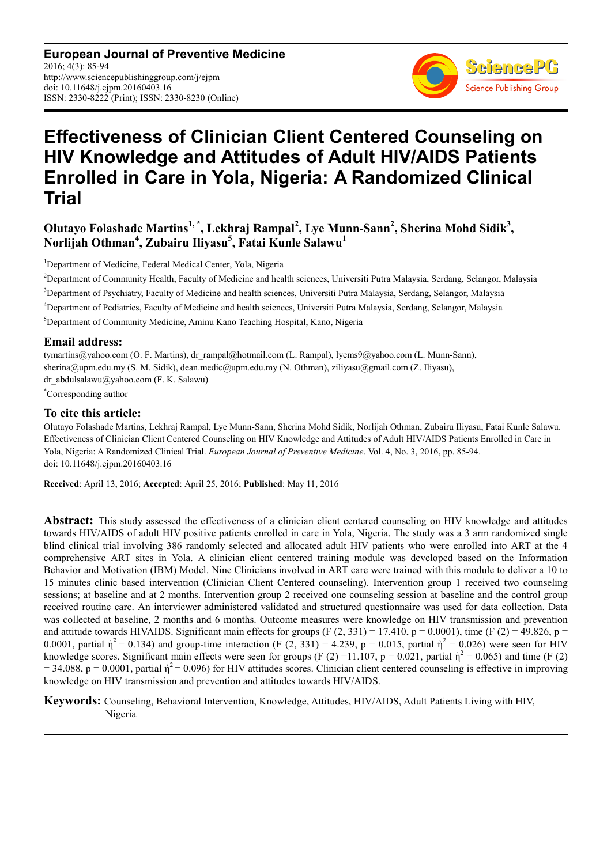**European Journal of Preventive Medicine** 2016; 4(3): 85-94 http://www.sciencepublishinggroup.com/j/ejpm doi: 10.11648/j.ejpm.20160403.16 ISSN: 2330-8222 (Print); ISSN: 2330-8230 (Online)



# **Effectiveness of Clinician Client Centered Counseling on HIV Knowledge and Attitudes of Adult HIV/AIDS Patients Enrolled in Care in Yola, Nigeria: A Randomized Clinical Trial**

# **Olutayo Folashade Martins1, \*, Lekhraj Rampal<sup>2</sup> , Lye Munn-Sann<sup>2</sup> , Sherina Mohd Sidik<sup>3</sup> , Norlijah Othman<sup>4</sup> , Zubairu Iliyasu<sup>5</sup> , Fatai Kunle Salawu<sup>1</sup>**

<sup>1</sup>Department of Medicine, Federal Medical Center, Yola, Nigeria

<sup>2</sup>Department of Community Health, Faculty of Medicine and health sciences, Universiti Putra Malaysia, Serdang, Selangor, Malaysia <sup>3</sup>Department of Psychiatry, Faculty of Medicine and health sciences, Universiti Putra Malaysia, Serdang, Selangor, Malaysia <sup>4</sup>Department of Pediatrics, Faculty of Medicine and health sciences, Universiti Putra Malaysia, Serdang, Selangor, Malaysia <sup>5</sup>Department of Community Medicine, Aminu Kano Teaching Hospital, Kano, Nigeria

### **Email address:**

tymartins@yahoo.com (O. F. Martins), dr\_rampal@hotmail.com (L. Rampal), lyems9@yahoo.com (L. Munn-Sann), sherina@upm.edu.my (S. M. Sidik), dean.medic@upm.edu.my (N. Othman), ziliyasu@gmail.com (Z. Iliyasu), dr\_abdulsalawu@yahoo.com (F. K. Salawu)

\*Corresponding author

### **To cite this article:**

Olutayo Folashade Martins, Lekhraj Rampal, Lye Munn-Sann, Sherina Mohd Sidik, Norlijah Othman, Zubairu Iliyasu, Fatai Kunle Salawu. Effectiveness of Clinician Client Centered Counseling on HIV Knowledge and Attitudes of Adult HIV/AIDS Patients Enrolled in Care in Yola, Nigeria: A Randomized Clinical Trial. *European Journal of Preventive Medicine*. Vol. 4, No. 3, 2016, pp. 85-94. doi: 10.11648/j.ejpm.20160403.16

**Received**: April 13, 2016; **Accepted**: April 25, 2016; **Published**: May 11, 2016

**Abstract:** This study assessed the effectiveness of a clinician client centered counseling on HIV knowledge and attitudes towards HIV/AIDS of adult HIV positive patients enrolled in care in Yola, Nigeria. The study was a 3 arm randomized single blind clinical trial involving 386 randomly selected and allocated adult HIV patients who were enrolled into ART at the 4 comprehensive ART sites in Yola. A clinician client centered training module was developed based on the Information Behavior and Motivation (IBM) Model. Nine Clinicians involved in ART care were trained with this module to deliver a 10 to 15 minutes clinic based intervention (Clinician Client Centered counseling). Intervention group 1 received two counseling sessions; at baseline and at 2 months. Intervention group 2 received one counseling session at baseline and the control group received routine care. An interviewer administered validated and structured questionnaire was used for data collection. Data was collected at baseline, 2 months and 6 months. Outcome measures were knowledge on HIV transmission and prevention and attitude towards HIVAIDS. Significant main effects for groups  $(F (2, 331) = 17.410, p = 0.0001)$ , time  $(F (2) = 49.826, p = 1.500)$ 0.0001, partial  $\dot{\eta}^2$  = 0.134) and group-time interaction (F (2, 331) = 4.239, p = 0.015, partial  $\dot{\eta}^2$  = 0.026) were seen for HIV knowledge scores. Significant main effects were seen for groups (F (2) = 11.107, p = 0.021, partial  $\dot{\eta}^2$  = 0.065) and time (F (2)  $= 34.088$ , p = 0.0001, partial  $\dot{\eta}^2 = 0.096$ ) for HIV attitudes scores. Clinician client centered counseling is effective in improving knowledge on HIV transmission and prevention and attitudes towards HIV/AIDS.

**Keywords:** Counseling, Behavioral Intervention, Knowledge, Attitudes, HIV/AIDS, Adult Patients Living with HIV, Nigeria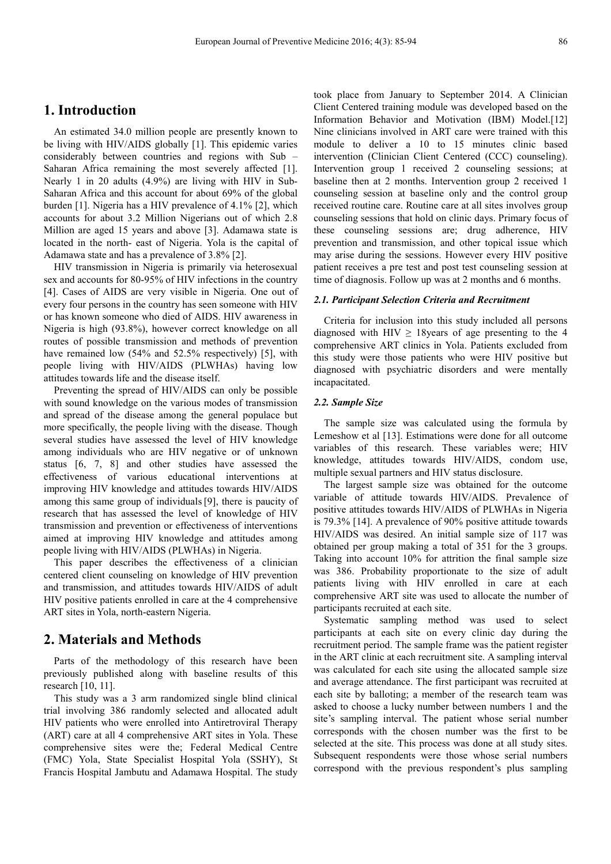# **1. Introduction**

An estimated 34.0 million people are presently known to be living with HIV/AIDS globally [1]. This epidemic varies considerably between countries and regions with Sub – Saharan Africa remaining the most severely affected [1]. Nearly 1 in 20 adults (4.9%) are living with HIV in Sub-Saharan Africa and this account for about 69% of the global burden [1]. Nigeria has a HIV prevalence of 4.1% [2], which accounts for about 3.2 Million Nigerians out of which 2.8 Million are aged 15 years and above [3]. Adamawa state is located in the north- east of Nigeria. Yola is the capital of Adamawa state and has a prevalence of 3.8% [2].

HIV transmission in Nigeria is primarily via heterosexual sex and accounts for 80-95% of HIV infections in the country [4]. Cases of AIDS are very visible in Nigeria. One out of every four persons in the country has seen someone with HIV or has known someone who died of AIDS. HIV awareness in Nigeria is high (93.8%), however correct knowledge on all routes of possible transmission and methods of prevention have remained low (54% and 52.5% respectively) [5], with people living with HIV/AIDS (PLWHAs) having low attitudes towards life and the disease itself.

Preventing the spread of HIV/AIDS can only be possible with sound knowledge on the various modes of transmission and spread of the disease among the general populace but more specifically, the people living with the disease. Though several studies have assessed the level of HIV knowledge among individuals who are HIV negative or of unknown status [6, 7, 8] and other studies have assessed the effectiveness of various educational interventions at improving HIV knowledge and attitudes towards HIV/AIDS among this same group of individuals[9], there is paucity of research that has assessed the level of knowledge of HIV transmission and prevention or effectiveness of interventions aimed at improving HIV knowledge and attitudes among people living with HIV/AIDS (PLWHAs) in Nigeria.

This paper describes the effectiveness of a clinician centered client counseling on knowledge of HIV prevention and transmission, and attitudes towards HIV/AIDS of adult HIV positive patients enrolled in care at the 4 comprehensive ART sites in Yola, north-eastern Nigeria.

## **2. Materials and Methods**

Parts of the methodology of this research have been previously published along with baseline results of this research [10, 11].

This study was a 3 arm randomized single blind clinical trial involving 386 randomly selected and allocated adult HIV patients who were enrolled into Antiretroviral Therapy (ART) care at all 4 comprehensive ART sites in Yola. These comprehensive sites were the; Federal Medical Centre (FMC) Yola, State Specialist Hospital Yola (SSHY), St Francis Hospital Jambutu and Adamawa Hospital. The study

took place from January to September 2014. A Clinician Client Centered training module was developed based on the Information Behavior and Motivation (IBM) Model.[12] Nine clinicians involved in ART care were trained with this module to deliver a 10 to 15 minutes clinic based intervention (Clinician Client Centered (CCC) counseling). Intervention group 1 received 2 counseling sessions; at baseline then at 2 months. Intervention group 2 received 1 counseling session at baseline only and the control group received routine care. Routine care at all sites involves group counseling sessions that hold on clinic days. Primary focus of these counseling sessions are; drug adherence, HIV prevention and transmission, and other topical issue which may arise during the sessions. However every HIV positive patient receives a pre test and post test counseling session at time of diagnosis. Follow up was at 2 months and 6 months.

#### *2.1. Participant Selection Criteria and Recruitment*

Criteria for inclusion into this study included all persons diagnosed with HIV  $\geq$  18 years of age presenting to the 4 comprehensive ART clinics in Yola. Patients excluded from this study were those patients who were HIV positive but diagnosed with psychiatric disorders and were mentally incapacitated.

#### *2.2. Sample Size*

The sample size was calculated using the formula by Lemeshow et al [13]. Estimations were done for all outcome variables of this research. These variables were; HIV knowledge, attitudes towards HIV/AIDS, condom use, multiple sexual partners and HIV status disclosure.

The largest sample size was obtained for the outcome variable of attitude towards HIV/AIDS. Prevalence of positive attitudes towards HIV/AIDS of PLWHAs in Nigeria is 79.3% [14]. A prevalence of 90% positive attitude towards HIV/AIDS was desired. An initial sample size of 117 was obtained per group making a total of 351 for the 3 groups. Taking into account 10% for attrition the final sample size was 386. Probability proportionate to the size of adult patients living with HIV enrolled in care at each comprehensive ART site was used to allocate the number of participants recruited at each site.

Systematic sampling method was used to select participants at each site on every clinic day during the recruitment period. The sample frame was the patient register in the ART clinic at each recruitment site. A sampling interval was calculated for each site using the allocated sample size and average attendance. The first participant was recruited at each site by balloting; a member of the research team was asked to choose a lucky number between numbers 1 and the site's sampling interval. The patient whose serial number corresponds with the chosen number was the first to be selected at the site. This process was done at all study sites. Subsequent respondents were those whose serial numbers correspond with the previous respondent's plus sampling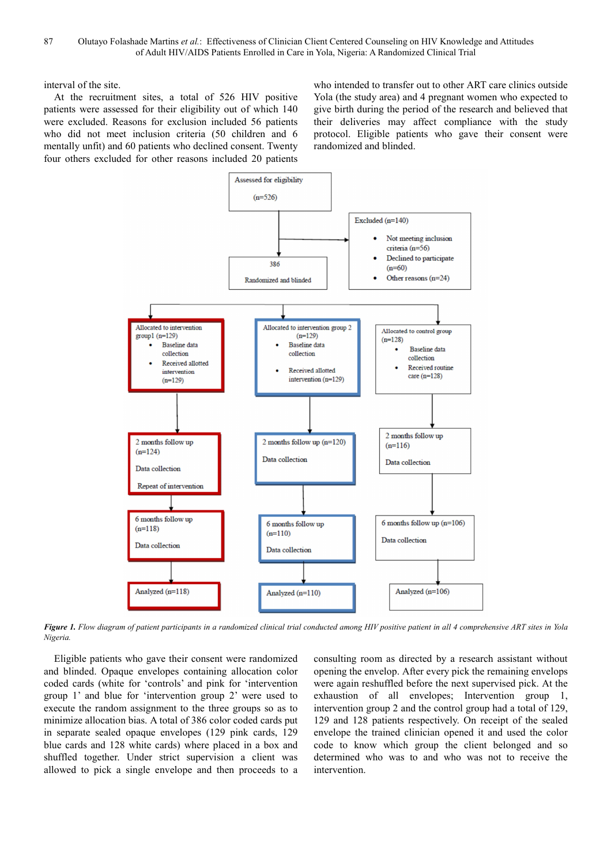interval of the site.

At the recruitment sites, a total of 526 HIV positive patients were assessed for their eligibility out of which 140 were excluded. Reasons for exclusion included 56 patients who did not meet inclusion criteria (50 children and 6 mentally unfit) and 60 patients who declined consent. Twenty four others excluded for other reasons included 20 patients who intended to transfer out to other ART care clinics outside Yola (the study area) and 4 pregnant women who expected to give birth during the period of the research and believed that their deliveries may affect compliance with the study protocol. Eligible patients who gave their consent were randomized and blinded.



*Figure 1. Flow diagram of patient participants in a randomized clinical trial conducted among HIV positive patient in all 4 comprehensive ART sites in Yola Nigeria.* 

Eligible patients who gave their consent were randomized and blinded. Opaque envelopes containing allocation color coded cards (white for 'controls' and pink for 'intervention group 1' and blue for 'intervention group 2' were used to execute the random assignment to the three groups so as to minimize allocation bias. A total of 386 color coded cards put in separate sealed opaque envelopes (129 pink cards, 129 blue cards and 128 white cards) where placed in a box and shuffled together. Under strict supervision a client was allowed to pick a single envelope and then proceeds to a

consulting room as directed by a research assistant without opening the envelop. After every pick the remaining envelops were again reshuffled before the next supervised pick. At the exhaustion of all envelopes; Intervention group 1, intervention group 2 and the control group had a total of 129, 129 and 128 patients respectively. On receipt of the sealed envelope the trained clinician opened it and used the color code to know which group the client belonged and so determined who was to and who was not to receive the intervention.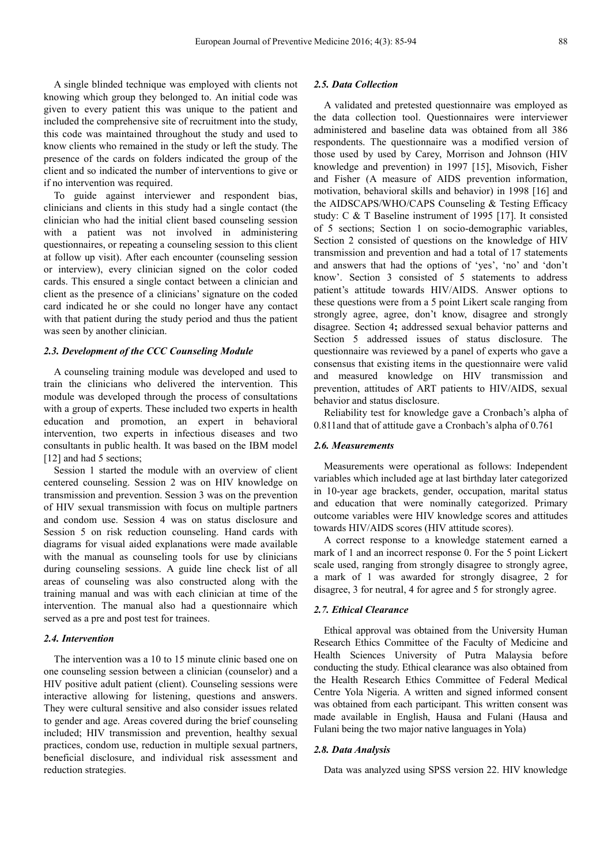A single blinded technique was employed with clients not knowing which group they belonged to. An initial code was given to every patient this was unique to the patient and included the comprehensive site of recruitment into the study, this code was maintained throughout the study and used to know clients who remained in the study or left the study. The presence of the cards on folders indicated the group of the client and so indicated the number of interventions to give or if no intervention was required.

To guide against interviewer and respondent bias, clinicians and clients in this study had a single contact (the clinician who had the initial client based counseling session with a patient was not involved in administering questionnaires, or repeating a counseling session to this client at follow up visit). After each encounter (counseling session or interview), every clinician signed on the color coded cards. This ensured a single contact between a clinician and client as the presence of a clinicians' signature on the coded card indicated he or she could no longer have any contact with that patient during the study period and thus the patient was seen by another clinician.

#### *2.3. Development of the CCC Counseling Module*

A counseling training module was developed and used to train the clinicians who delivered the intervention. This module was developed through the process of consultations with a group of experts. These included two experts in health education and promotion, an expert in behavioral intervention, two experts in infectious diseases and two consultants in public health. It was based on the IBM model [12] and had 5 sections;

Session 1 started the module with an overview of client centered counseling. Session 2 was on HIV knowledge on transmission and prevention. Session 3 was on the prevention of HIV sexual transmission with focus on multiple partners and condom use. Session 4 was on status disclosure and Session 5 on risk reduction counseling. Hand cards with diagrams for visual aided explanations were made available with the manual as counseling tools for use by clinicians during counseling sessions. A guide line check list of all areas of counseling was also constructed along with the training manual and was with each clinician at time of the intervention. The manual also had a questionnaire which served as a pre and post test for trainees.

#### *2.4. Intervention*

The intervention was a 10 to 15 minute clinic based one on one counseling session between a clinician (counselor) and a HIV positive adult patient (client). Counseling sessions were interactive allowing for listening, questions and answers. They were cultural sensitive and also consider issues related to gender and age. Areas covered during the brief counseling included; HIV transmission and prevention, healthy sexual practices, condom use, reduction in multiple sexual partners, beneficial disclosure, and individual risk assessment and reduction strategies.

### *2.5. Data Collection*

A validated and pretested questionnaire was employed as the data collection tool. Questionnaires were interviewer administered and baseline data was obtained from all 386 respondents. The questionnaire was a modified version of those used by used by Carey, Morrison and Johnson (HIV knowledge and prevention) in 1997 [15], Misovich, Fisher and Fisher (A measure of AIDS prevention information, motivation, behavioral skills and behavior) in 1998 [16] and the AIDSCAPS/WHO/CAPS Counseling & Testing Efficacy study: C & T Baseline instrument of 1995 [17]. It consisted of 5 sections; Section 1 on socio-demographic variables, Section 2 consisted of questions on the knowledge of HIV transmission and prevention and had a total of 17 statements and answers that had the options of 'yes', 'no' and 'don't know'. Section 3 consisted of 5 statements to address patient's attitude towards HIV/AIDS. Answer options to these questions were from a 5 point Likert scale ranging from strongly agree, agree, don't know, disagree and strongly disagree. Section 4**;** addressed sexual behavior patterns and Section 5 addressed issues of status disclosure. The questionnaire was reviewed by a panel of experts who gave a consensus that existing items in the questionnaire were valid and measured knowledge on HIV transmission and prevention, attitudes of ART patients to HIV/AIDS, sexual behavior and status disclosure.

Reliability test for knowledge gave a Cronbach's alpha of 0.811and that of attitude gave a Cronbach's alpha of 0.761

#### *2.6. Measurements*

Measurements were operational as follows: Independent variables which included age at last birthday later categorized in 10-year age brackets, gender, occupation, marital status and education that were nominally categorized. Primary outcome variables were HIV knowledge scores and attitudes towards HIV/AIDS scores (HIV attitude scores).

A correct response to a knowledge statement earned a mark of 1 and an incorrect response 0. For the 5 point Lickert scale used, ranging from strongly disagree to strongly agree, a mark of 1 was awarded for strongly disagree, 2 for disagree, 3 for neutral, 4 for agree and 5 for strongly agree.

#### *2.7. Ethical Clearance*

Ethical approval was obtained from the University Human Research Ethics Committee of the Faculty of Medicine and Health Sciences University of Putra Malaysia before conducting the study. Ethical clearance was also obtained from the Health Research Ethics Committee of Federal Medical Centre Yola Nigeria. A written and signed informed consent was obtained from each participant. This written consent was made available in English, Hausa and Fulani (Hausa and Fulani being the two major native languages in Yola)

#### *2.8. Data Analysis*

Data was analyzed using SPSS version 22. HIV knowledge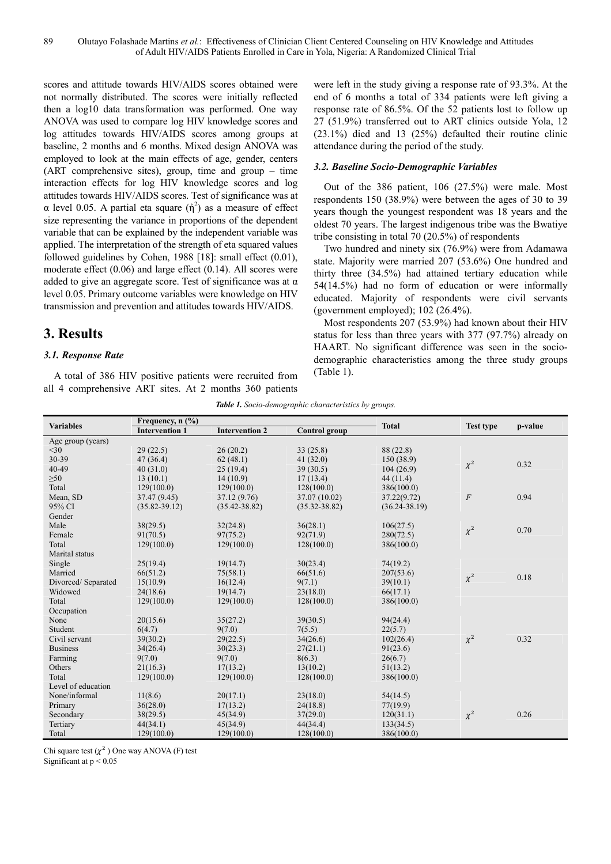scores and attitude towards HIV/AIDS scores obtained were not normally distributed. The scores were initially reflected then a log10 data transformation was performed. One way ANOVA was used to compare log HIV knowledge scores and log attitudes towards HIV/AIDS scores among groups at baseline, 2 months and 6 months. Mixed design ANOVA was employed to look at the main effects of age, gender, centers (ART comprehensive sites), group, time and group – time interaction effects for log HIV knowledge scores and log attitudes towards HIV/AIDS scores. Test of significance was at  $\alpha$  level 0.05. A partial eta square (ή<sup>2</sup>) as a measure of effect size representing the variance in proportions of the dependent variable that can be explained by the independent variable was applied. The interpretation of the strength of eta squared values followed guidelines by Cohen, 1988 [18]: small effect (0.01), moderate effect (0.06) and large effect (0.14). All scores were added to give an aggregate score. Test of significance was at  $\alpha$ level 0.05. Primary outcome variables were knowledge on HIV transmission and prevention and attitudes towards HIV/AIDS.

# **3. Results**

### *3.1. Response Rate*

A total of 386 HIV positive patients were recruited from all 4 comprehensive ART sites. At 2 months 360 patients

were left in the study giving a response rate of 93.3%. At the end of 6 months a total of 334 patients were left giving a response rate of 86.5%. Of the 52 patients lost to follow up 27 (51.9%) transferred out to ART clinics outside Yola, 12 (23.1%) died and 13 (25%) defaulted their routine clinic attendance during the period of the study.

### *3.2. Baseline Socio-Demographic Variables*

Out of the 386 patient, 106 (27.5%) were male. Most respondents 150 (38.9%) were between the ages of 30 to 39 years though the youngest respondent was 18 years and the oldest 70 years. The largest indigenous tribe was the Bwatiye tribe consisting in total 70 (20.5%) of respondents

Two hundred and ninety six (76.9%) were from Adamawa state. Majority were married 207 (53.6%) One hundred and thirty three (34.5%) had attained tertiary education while 54(14.5%) had no form of education or were informally educated. Majority of respondents were civil servants (government employed); 102 (26.4%).

Most respondents 207 (53.9%) had known about their HIV status for less than three years with 377 (97.7%) already on HAART. No significant difference was seen in the sociodemographic characteristics among the three study groups (Table 1).

| Table 1. Socio-demographic characteristics by groups. |
|-------------------------------------------------------|
|-------------------------------------------------------|

|                    | Frequency, n (%)      |                       |                   |                   |                  |         |
|--------------------|-----------------------|-----------------------|-------------------|-------------------|------------------|---------|
| <b>Variables</b>   | <b>Intervention 1</b> | <b>Intervention 2</b> | Control group     | <b>Total</b>      | <b>Test type</b> | p-value |
| Age group (years)  |                       |                       |                   |                   |                  |         |
| $<$ 30             | 29(22.5)              | 26(20.2)              | 33(25.8)          | 88 (22.8)         |                  |         |
| 30-39              | 47 (36.4)             | 62(48.1)              | 41(32.0)          | 150(38.9)         |                  | 0.32    |
| 40-49              | 40(31.0)              | 25(19.4)              | 39(30.5)          | 104(26.9)         | $\chi^2$         |         |
| $\geq 50$          | 13(10.1)              | 14(10.9)              | 17(13.4)          | 44(11.4)          |                  |         |
| Total              | 129(100.0)            | 129(100.0)            | 128(100.0)        | 386(100.0)        |                  |         |
| Mean, SD           | 37.47 (9.45)          | 37.12 (9.76)          | 37.07 (10.02)     | 37.22(9.72)       | $\overline{F}$   | 0.94    |
| 95% CI             | $(35.82 - 39.12)$     | $(35.42 - 38.82)$     | $(35.32 - 38.82)$ | $(36.24 - 38.19)$ |                  |         |
| Gender             |                       |                       |                   |                   |                  |         |
| Male               | 38(29.5)              | 32(24.8)              | 36(28.1)          | 106(27.5)         |                  | 0.70    |
| Female             | 91(70.5)              | 97(75.2)              | 92(71.9)          | 280(72.5)         | $\chi^2$         |         |
| Total              | 129(100.0)            | 129(100.0)            | 128(100.0)        | 386(100.0)        |                  |         |
| Marital status     |                       |                       |                   |                   |                  |         |
| Single             | 25(19.4)              | 19(14.7)              | 30(23.4)          | 74(19.2)          |                  |         |
| Married            | 66(51.2)              | 75(58.1)              | 66(51.6)          | 207(53.6)         |                  |         |
| Divorced/Separated | 15(10.9)              | 16(12.4)              | 9(7.1)            | 39(10.1)          | $\chi^2$         | 0.18    |
| Widowed            | 24(18.6)              | 19(14.7)              | 23(18.0)          | 66(17.1)          |                  |         |
| Total              | 129(100.0)            | 129(100.0)            | 128(100.0)        | 386(100.0)        |                  |         |
| Occupation         |                       |                       |                   |                   |                  |         |
| None               | 20(15.6)              | 35(27.2)              | 39(30.5)          | 94(24.4)          |                  |         |
| Student            | 6(4.7)                | 9(7.0)                | 7(5.5)            | 22(5.7)           |                  |         |
| Civil servant      | 39(30.2)              | 29(22.5)              | 34(26.6)          | 102(26.4)         | $\chi^2$         | 0.32    |
| <b>Business</b>    | 34(26.4)              | 30(23.3)              | 27(21.1)          | 91(23.6)          |                  |         |
| Farming            | 9(7.0)                | 9(7.0)                | 8(6.3)            | 26(6.7)           |                  |         |
| Others             | 21(16.3)              | 17(13.2)              | 13(10.2)          | 51(13.2)          |                  |         |
| Total              | 129(100.0)            | 129(100.0)            | 128(100.0)        | 386(100.0)        |                  |         |
| Level of education |                       |                       |                   |                   |                  |         |
| None/informal      | 11(8.6)               | 20(17.1)              | 23(18.0)          | 54(14.5)          |                  |         |
| Primary            | 36(28.0)              | 17(13.2)              | 24(18.8)          | 77(19.9)          |                  |         |
| Secondary          | 38(29.5)              | 45(34.9)              | 37(29.0)          | 120(31.1)         | $\chi^2$         | 0.26    |
| Tertiary           | 44(34.1)              | 45(34.9)              | 44(34.4)          | 133(34.5)         |                  |         |
| Total              | 129(100.0)            | 129(100.0)            | 128(100.0)        | 386(100.0)        |                  |         |

Chi square test  $(\chi^2)$  One way ANOVA (F) test

Significant at p < 0.05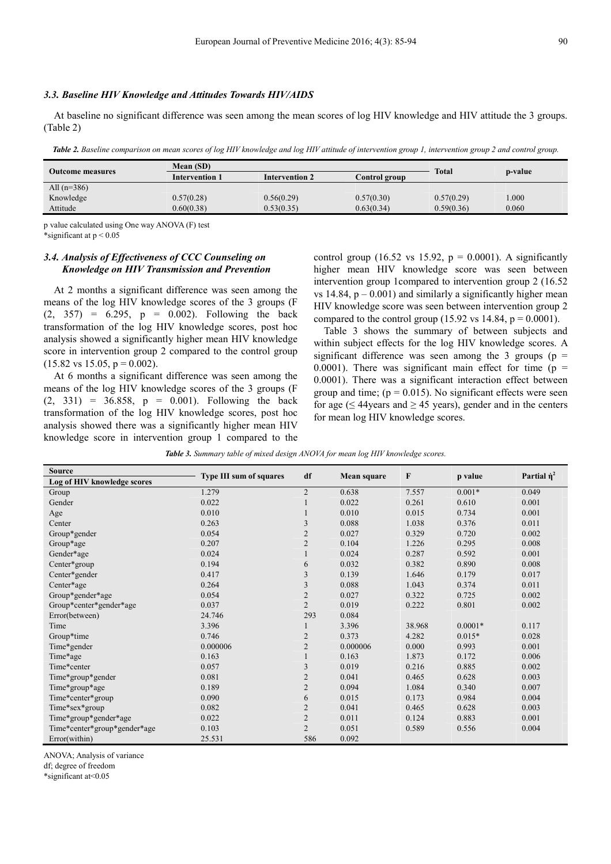#### *3.3. Baseline HIV Knowledge and Attitudes Towards HIV/AIDS*

At baseline no significant difference was seen among the mean scores of log HIV knowledge and HIV attitude the 3 groups. (Table 2)

Table 2. Baseline comparison on mean scores of log HIV knowledge and log HIV attitude of intervention group 1, intervention group 2 and control group.

|                  | Mean (SD)             |                       |              |            |       |
|------------------|-----------------------|-----------------------|--------------|------------|-------|
| Outcome measures | <b>Intervention 1</b> | <b>Intervention 2</b> | <b>Total</b> | p-value    |       |
| All $(n=386)$    |                       |                       |              |            |       |
| Knowledge        | 0.57(0.28)            | 0.56(0.29)            | 0.57(0.30)   | 0.57(0.29) | .000  |
| Attitude         | 0.60(0.38)            | 0.53(0.35)            | 0.63(0.34)   | 0.59(0.36) | 0.060 |
|                  |                       |                       |              |            |       |

p value calculated using One way ANOVA (F) test \*significant at p < 0.05

### *3.4. Analysis of Effectiveness of CCC Counseling on Knowledge on HIV Transmission and Prevention*

At 2 months a significant difference was seen among the means of the log HIV knowledge scores of the 3 groups (F  $(2, 357) = 6.295$ ,  $p = 0.002$ . Following the back transformation of the log HIV knowledge scores, post hoc analysis showed a significantly higher mean HIV knowledge score in intervention group 2 compared to the control group  $(15.82 \text{ vs } 15.05, \text{ p} = 0.002).$ 

At 6 months a significant difference was seen among the means of the log HIV knowledge scores of the 3 groups (F  $(2, 331) = 36.858$ ,  $p = 0.001$ . Following the back transformation of the log HIV knowledge scores, post hoc analysis showed there was a significantly higher mean HIV knowledge score in intervention group 1 compared to the control group (16.52 vs 15.92,  $p = 0.0001$ ). A significantly higher mean HIV knowledge score was seen between intervention group 1compared to intervention group 2 (16.52 vs 14.84,  $p - 0.001$ ) and similarly a significantly higher mean HIV knowledge score was seen between intervention group 2 compared to the control group (15.92 vs 14.84,  $p = 0.0001$ ).

Table 3 shows the summary of between subjects and within subject effects for the log HIV knowledge scores. A significant difference was seen among the 3 groups ( $p =$ 0.0001). There was significant main effect for time ( $p =$ 0.0001). There was a significant interaction effect between group and time;  $(p = 0.015)$ . No significant effects were seen for age ( $\leq$  44 years and  $\geq$  45 years), gender and in the centers for mean log HIV knowledge scores.

*Table 3. Summary table of mixed design ANOVA for mean log HIV knowledge scores.* 

| <b>Source</b>                | <b>Type III sum of squares</b> |                |                    | F      |           | Partial $\dot{\eta}^2$ |
|------------------------------|--------------------------------|----------------|--------------------|--------|-----------|------------------------|
| Log of HIV knowledge scores  |                                | df             | <b>Mean square</b> |        | p value   |                        |
| Group                        | 1.279                          | $\overline{2}$ | 0.638              | 7.557  | $0.001*$  | 0.049                  |
| Gender                       | 0.022                          |                | 0.022              | 0.261  | 0.610     | 0.001                  |
| Age                          | 0.010                          |                | 0.010              | 0.015  | 0.734     | 0.001                  |
| Center                       | 0.263                          | 3              | 0.088              | 1.038  | 0.376     | 0.011                  |
| Group*gender                 | 0.054                          | $\mathfrak{2}$ | 0.027              | 0.329  | 0.720     | 0.002                  |
| Group*age                    | 0.207                          | $\overline{c}$ | 0.104              | 1.226  | 0.295     | 0.008                  |
| Gender*age                   | 0.024                          |                | 0.024              | 0.287  | 0.592     | 0.001                  |
| Center*group                 | 0.194                          | 6              | 0.032              | 0.382  | 0.890     | 0.008                  |
| Center*gender                | 0.417                          | 3              | 0.139              | 1.646  | 0.179     | 0.017                  |
| Center*age                   | 0.264                          | 3              | 0.088              | 1.043  | 0.374     | 0.011                  |
| Group*gender*age             | 0.054                          | $\mathfrak{2}$ | 0.027              | 0.322  | 0.725     | 0.002                  |
| Group*center*gender*age      | 0.037                          | $\overline{2}$ | 0.019              | 0.222  | 0.801     | 0.002                  |
| Error(between)               | 24.746                         | 293            | 0.084              |        |           |                        |
| Time                         | 3.396                          |                | 3.396              | 38.968 | $0.0001*$ | 0.117                  |
| Group*time                   | 0.746                          | $\overline{2}$ | 0.373              | 4.282  | $0.015*$  | 0.028                  |
| Time*gender                  | 0.000006                       | $\overline{2}$ | 0.000006           | 0.000  | 0.993     | 0.001                  |
| Time*age                     | 0.163                          |                | 0.163              | 1.873  | 0.172     | 0.006                  |
| Time*center                  | 0.057                          | 3              | 0.019              | 0.216  | 0.885     | 0.002                  |
| Time*group*gender            | 0.081                          | $\overline{2}$ | 0.041              | 0.465  | 0.628     | 0.003                  |
| Time*group*age               | 0.189                          | $\overline{2}$ | 0.094              | 1.084  | 0.340     | 0.007                  |
| Time*center*group            | 0.090                          | 6              | 0.015              | 0.173  | 0.984     | 0.004                  |
| Time*sex*group               | 0.082                          | $\overline{2}$ | 0.041              | 0.465  | 0.628     | 0.003                  |
| Time*group*gender*age        | 0.022                          | $\mathfrak{2}$ | 0.011              | 0.124  | 0.883     | 0.001                  |
| Time*center*group*gender*age | 0.103                          | $\overline{2}$ | 0.051              | 0.589  | 0.556     | 0.004                  |
| Error(within)                | 25.531                         | 586            | 0.092              |        |           |                        |

ANOVA; Analysis of variance

df; degree of freedom

\*significant at<0.05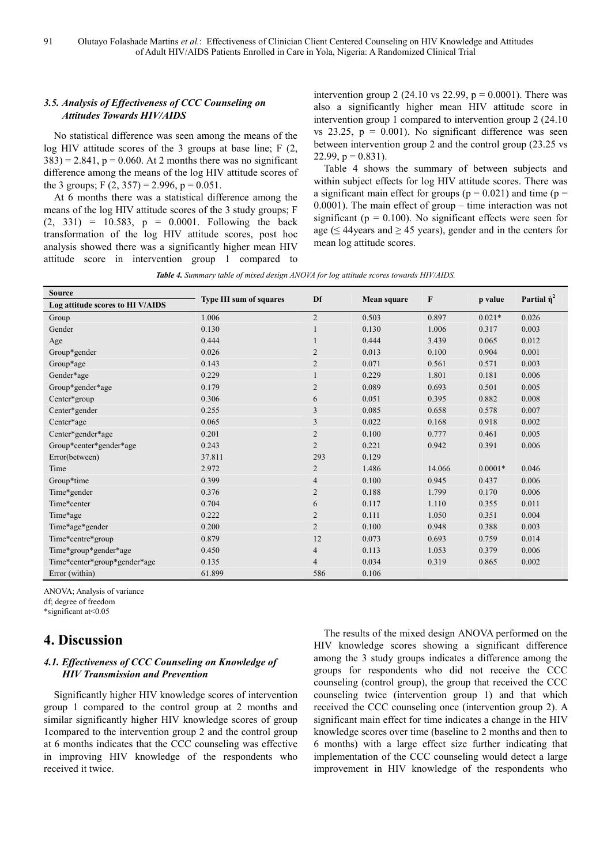### *3.5. Analysis of Effectiveness of CCC Counseling on Attitudes Towards HIV/AIDS*

No statistical difference was seen among the means of the log HIV attitude scores of the 3 groups at base line; F  $(2, 1)$  $383$ ) = 2.841, p = 0.060. At 2 months there was no significant difference among the means of the log HIV attitude scores of the 3 groups; F  $(2, 357) = 2.996$ , p = 0.051.

At 6 months there was a statistical difference among the means of the log HIV attitude scores of the 3 study groups; F  $(2, 331) = 10.583$ ,  $p = 0.0001$ . Following the back transformation of the log HIV attitude scores, post hoc analysis showed there was a significantly higher mean HIV attitude score in intervention group 1 compared to intervention group 2 (24.10 vs 22.99,  $p = 0.0001$ ). There was also a significantly higher mean HIV attitude score in intervention group 1 compared to intervention group 2 (24.10 vs  $23.25$ ,  $p = 0.001$ ). No significant difference was seen between intervention group 2 and the control group (23.25 vs 22.99,  $p = 0.831$ ).

Table 4 shows the summary of between subjects and within subject effects for log HIV attitude scores. There was a significant main effect for groups ( $p = 0.021$ ) and time ( $p =$ 0.0001). The main effect of group – time interaction was not significant ( $p = 0.100$ ). No significant effects were seen for age ( $\leq$  44 years and  $\geq$  45 years), gender and in the centers for mean log attitude scores.

|  |  |  |  |  |  | Table 4. Summary table of mixed design ANOVA for log attitude scores towards HIV/AIDS. |
|--|--|--|--|--|--|----------------------------------------------------------------------------------------|
|--|--|--|--|--|--|----------------------------------------------------------------------------------------|

| <b>Source</b>                    | <b>Type III sum of squares</b> | Df             | Mean square | F      | p value   | Partial $\dot{\eta}^2$ |
|----------------------------------|--------------------------------|----------------|-------------|--------|-----------|------------------------|
| Log attitude scores to HI V/AIDS |                                |                |             |        |           |                        |
| Group                            | 1.006                          | $\overline{2}$ | 0.503       | 0.897  | $0.021*$  | 0.026                  |
| Gender                           | 0.130                          |                | 0.130       | 1.006  | 0.317     | 0.003                  |
| Age                              | 0.444                          |                | 0.444       | 3.439  | 0.065     | 0.012                  |
| Group*gender                     | 0.026                          | $\overline{2}$ | 0.013       | 0.100  | 0.904     | 0.001                  |
| Group*age                        | 0.143                          | $\overline{2}$ | 0.071       | 0.561  | 0.571     | 0.003                  |
| Gender*age                       | 0.229                          |                | 0.229       | 1.801  | 0.181     | 0.006                  |
| Group*gender*age                 | 0.179                          | $\overline{2}$ | 0.089       | 0.693  | 0.501     | 0.005                  |
| Center*group                     | 0.306                          | 6              | 0.051       | 0.395  | 0.882     | 0.008                  |
| Center*gender                    | 0.255                          | 3              | 0.085       | 0.658  | 0.578     | 0.007                  |
| Center*age                       | 0.065                          | 3              | 0.022       | 0.168  | 0.918     | 0.002                  |
| Center*gender*age                | 0.201                          | $\overline{2}$ | 0.100       | 0.777  | 0.461     | 0.005                  |
| Group*center*gender*age          | 0.243                          | $\overline{2}$ | 0.221       | 0.942  | 0.391     | 0.006                  |
| Error(between)                   | 37.811                         | 293            | 0.129       |        |           |                        |
| Time                             | 2.972                          | $\overline{2}$ | 1.486       | 14.066 | $0.0001*$ | 0.046                  |
| Group*time                       | 0.399                          | $\overline{4}$ | 0.100       | 0.945  | 0.437     | 0.006                  |
| Time*gender                      | 0.376                          | $\overline{2}$ | 0.188       | 1.799  | 0.170     | 0.006                  |
| Time*center                      | 0.704                          | 6              | 0.117       | 1.110  | 0.355     | 0.011                  |
| Time*age                         | 0.222                          | $\overline{2}$ | 0.111       | 1.050  | 0.351     | 0.004                  |
| Time*age*gender                  | 0.200                          | $\overline{2}$ | 0.100       | 0.948  | 0.388     | 0.003                  |
| Time*centre*group                | 0.879                          | 12             | 0.073       | 0.693  | 0.759     | 0.014                  |
| Time*group*gender*age            | 0.450                          | $\overline{4}$ | 0.113       | 1.053  | 0.379     | 0.006                  |
| Time*center*group*gender*age     | 0.135                          | $\overline{4}$ | 0.034       | 0.319  | 0.865     | 0.002                  |
| Error (within)                   | 61.899                         | 586            | 0.106       |        |           |                        |

ANOVA; Analysis of variance

df; degree of freedom

\*significant at<0.05

# **4. Discussion**

### *4.1. Effectiveness of CCC Counseling on Knowledge of HIV Transmission and Prevention*

Significantly higher HIV knowledge scores of intervention group 1 compared to the control group at 2 months and similar significantly higher HIV knowledge scores of group 1compared to the intervention group 2 and the control group at 6 months indicates that the CCC counseling was effective in improving HIV knowledge of the respondents who received it twice.

The results of the mixed design ANOVA performed on the HIV knowledge scores showing a significant difference among the 3 study groups indicates a difference among the groups for respondents who did not receive the CCC counseling (control group), the group that received the CCC counseling twice (intervention group 1) and that which received the CCC counseling once (intervention group 2). A significant main effect for time indicates a change in the HIV knowledge scores over time (baseline to 2 months and then to 6 months) with a large effect size further indicating that implementation of the CCC counseling would detect a large improvement in HIV knowledge of the respondents who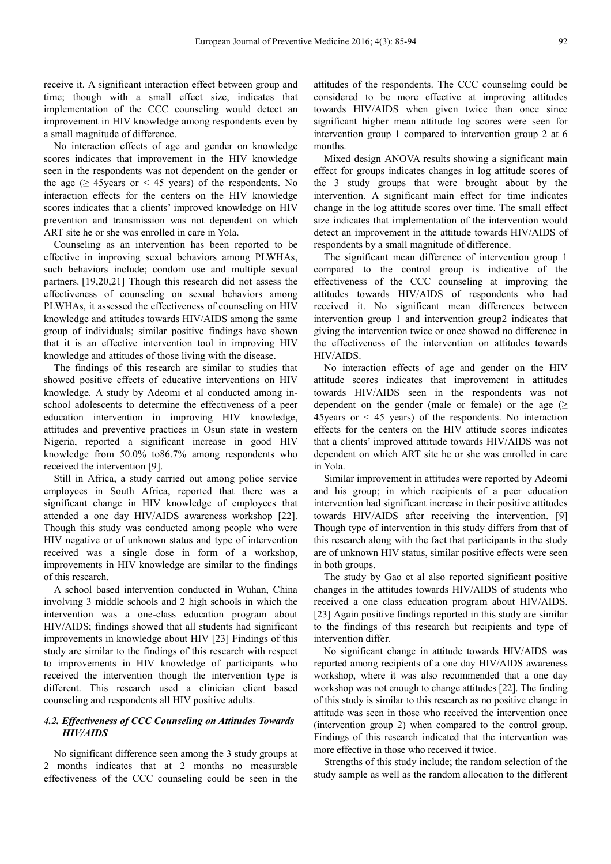receive it. A significant interaction effect between group and time; though with a small effect size, indicates that implementation of the CCC counseling would detect an improvement in HIV knowledge among respondents even by a small magnitude of difference.

No interaction effects of age and gender on knowledge scores indicates that improvement in the HIV knowledge seen in the respondents was not dependent on the gender or the age ( $\geq$  45 years or < 45 years) of the respondents. No interaction effects for the centers on the HIV knowledge scores indicates that a clients' improved knowledge on HIV prevention and transmission was not dependent on which ART site he or she was enrolled in care in Yola.

Counseling as an intervention has been reported to be effective in improving sexual behaviors among PLWHAs, such behaviors include; condom use and multiple sexual partners. [19,20,21] Though this research did not assess the effectiveness of counseling on sexual behaviors among PLWHAs, it assessed the effectiveness of counseling on HIV knowledge and attitudes towards HIV/AIDS among the same group of individuals; similar positive findings have shown that it is an effective intervention tool in improving HIV knowledge and attitudes of those living with the disease.

The findings of this research are similar to studies that showed positive effects of educative interventions on HIV knowledge. A study by Adeomi et al conducted among inschool adolescents to determine the effectiveness of a peer education intervention in improving HIV knowledge, attitudes and preventive practices in Osun state in western Nigeria, reported a significant increase in good HIV knowledge from 50.0% to86.7% among respondents who received the intervention [9].

Still in Africa, a study carried out among police service employees in South Africa, reported that there was a significant change in HIV knowledge of employees that attended a one day HIV/AIDS awareness workshop [22]. Though this study was conducted among people who were HIV negative or of unknown status and type of intervention received was a single dose in form of a workshop, improvements in HIV knowledge are similar to the findings of this research.

A school based intervention conducted in Wuhan, China involving 3 middle schools and 2 high schools in which the intervention was a one-class education program about HIV/AIDS; findings showed that all students had significant improvements in knowledge about HIV [23] Findings of this study are similar to the findings of this research with respect to improvements in HIV knowledge of participants who received the intervention though the intervention type is different. This research used a clinician client based counseling and respondents all HIV positive adults.

### *4.2. Effectiveness of CCC Counseling on Attitudes Towards HIV/AIDS*

No significant difference seen among the 3 study groups at 2 months indicates that at 2 months no measurable effectiveness of the CCC counseling could be seen in the

attitudes of the respondents. The CCC counseling could be considered to be more effective at improving attitudes towards HIV/AIDS when given twice than once since significant higher mean attitude log scores were seen for intervention group 1 compared to intervention group 2 at 6 months.

Mixed design ANOVA results showing a significant main effect for groups indicates changes in log attitude scores of the 3 study groups that were brought about by the intervention. A significant main effect for time indicates change in the log attitude scores over time. The small effect size indicates that implementation of the intervention would detect an improvement in the attitude towards HIV/AIDS of respondents by a small magnitude of difference.

The significant mean difference of intervention group 1 compared to the control group is indicative of the effectiveness of the CCC counseling at improving the attitudes towards HIV/AIDS of respondents who had received it. No significant mean differences between intervention group 1 and intervention group2 indicates that giving the intervention twice or once showed no difference in the effectiveness of the intervention on attitudes towards HIV/AIDS.

No interaction effects of age and gender on the HIV attitude scores indicates that improvement in attitudes towards HIV/AIDS seen in the respondents was not dependent on the gender (male or female) or the age ( $\geq$ 45years or < 45 years) of the respondents. No interaction effects for the centers on the HIV attitude scores indicates that a clients' improved attitude towards HIV/AIDS was not dependent on which ART site he or she was enrolled in care in Yola.

Similar improvement in attitudes were reported by Adeomi and his group; in which recipients of a peer education intervention had significant increase in their positive attitudes towards HIV/AIDS after receiving the intervention. [9] Though type of intervention in this study differs from that of this research along with the fact that participants in the study are of unknown HIV status, similar positive effects were seen in both groups.

The study by Gao et al also reported significant positive changes in the attitudes towards HIV/AIDS of students who received a one class education program about HIV/AIDS. [23] Again positive findings reported in this study are similar to the findings of this research but recipients and type of intervention differ.

No significant change in attitude towards HIV/AIDS was reported among recipients of a one day HIV/AIDS awareness workshop, where it was also recommended that a one day workshop was not enough to change attitudes [22]. The finding of this study is similar to this research as no positive change in attitude was seen in those who received the intervention once (intervention group 2) when compared to the control group. Findings of this research indicated that the intervention was more effective in those who received it twice.

Strengths of this study include; the random selection of the study sample as well as the random allocation to the different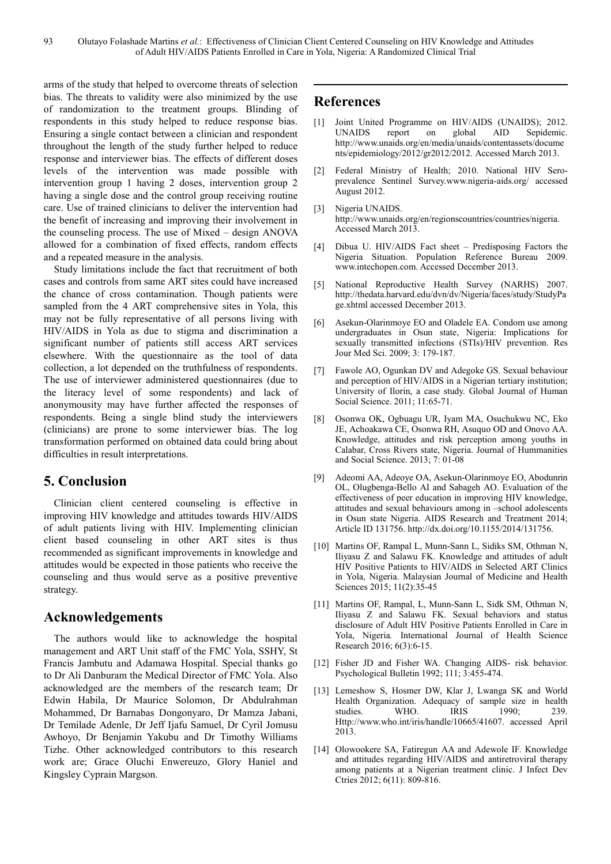arms of the study that helped to overcome threats of selection bias. The threats to validity were also minimized by the use of randomization to the treatment groups. Blinding of respondents in this study helped to reduce response bias. Ensuring a single contact between a clinician and respondent throughout the length of the study further helped to reduce response and interviewer bias. The effects of different doses levels of the intervention was made possible with intervention group 1 having 2 doses, intervention group 2 having a single dose and the control group receiving routine care. Use of trained clinicians to deliver the intervention had the benefit of increasing and improving their involvement in the counseling process. The use of Mixed – design ANOVA allowed for a combination of fixed effects, random effects and a repeated measure in the analysis.

Study limitations include the fact that recruitment of both cases and controls from same ART sites could have increased the chance of cross contamination. Though patients were sampled from the 4 ART comprehensive sites in Yola, this may not be fully representative of all persons living with HIV/AIDS in Yola as due to stigma and discrimination a significant number of patients still access ART services elsewhere. With the questionnaire as the tool of data collection, a lot depended on the truthfulness of respondents. The use of interviewer administered questionnaires (due to the literacy level of some respondents) and lack of anonymousity may have further affected the responses of respondents. Being a single blind study the interviewers (clinicians) are prone to some interviewer bias. The log transformation performed on obtained data could bring about difficulties in result interpretations.

# **5. Conclusion**

Clinician client centered counseling is effective in improving HIV knowledge and attitudes towards HIV/AIDS of adult patients living with HIV. Implementing clinician client based counseling in other ART sites is thus recommended as significant improvements in knowledge and attitudes would be expected in those patients who receive the counseling and thus would serve as a positive preventive strategy.

# **Acknowledgements**

The authors would like to acknowledge the hospital management and ART Unit staff of the FMC Yola, SSHY, St Francis Jambutu and Adamawa Hospital. Special thanks go to Dr Ali Danburam the Medical Director of FMC Yola. Also acknowledged are the members of the research team; Dr Edwin Habila, Dr Maurice Solomon, Dr Abdulrahman Mohammed, Dr Barnabas Dongonyaro, Dr Mamza Jabani, Dr Temilade Adenle, Dr Jeff Ijafu Samuel, Dr Cyril Jomusu Awhoyo, Dr Benjamin Yakubu and Dr Timothy Williams Tizhe. Other acknowledged contributors to this research work are; Grace Oluchi Enwereuzo, Glory Haniel and Kingsley Cyprain Margson.

# **References**

- [1] Joint United Programme on HIV/AIDS (UNAIDS); 2012. UNAIDS report on global AID Sepidemic. http://www.unaids.org/en/media/unaids/contentassets/docume nts/epidemiology/2012/gr2012/2012. Accessed March 2013.
- [2] Federal Ministry of Health; 2010. National HIV Seroprevalence Sentinel Survey.www.nigeria-aids.org/ accessed August 2012.
- [3] Nigeria UNAIDS. http://www.unaids.org/en/regionscountries/countries/nigeria. Accessed March 2013.
- [4] Dibua U. HIV/AIDS Fact sheet Predisposing Factors the Nigeria Situation. Population Reference Bureau 2009. www.intechopen.com. Accessed December 2013.
- [5] National Reproductive Health Survey (NARHS) 2007. http://thedata.harvard.edu/dvn/dv/Nigeria/faces/study/StudyPa ge.xhtml accessed December 2013.
- [6] Asekun-Olarinmoye EO and Oladele EA. Condom use among undergraduates in Osun state, Nigeria: Implications for sexually transmitted infections (STIs)/HIV prevention. Res Jour Med Sci. 2009; 3: 179-187.
- [7] Fawole AO, Ogunkan DV and Adegoke GS. Sexual behaviour and perception of HIV/AIDS in a Nigerian tertiary institution; University of Ilorin, a case study. Global Journal of Human Social Science. 2011; 11:65-71.
- [8] Osonwa OK, Ogbuagu UR, Iyam MA, Osuchukwu NC, Eko JE, Achoakawa CE, Osonwa RH, Asuquo OD and Onovo AA. Knowledge, attitudes and risk perception among youths in Calabar, Cross Rivers state, Nigeria. Journal of Hummanities and Social Science. 2013; 7: 01-08
- [9] Adeomi AA, Adeoye OA, Asekun-Olarinmoye EO, Abodunrin OL, Olugbenga-Bello AI and Sabageh AO. Evaluation of the effectiveness of peer education in improving HIV knowledge, attitudes and sexual behaviours among in –school adolescents in Osun state Nigeria. AIDS Research and Treatment 2014; Article ID 131756. http://dx.doi.org/10.1155/2014/131756.
- [10] Martins OF, Rampal L, Munn-Sann L, Sidiks SM, Othman N, Iliyasu Z and Salawu FK. Knowledge and attitudes of adult HIV Positive Patients to HIV/AIDS in Selected ART Clinics in Yola, Nigeria. Malaysian Journal of Medicine and Health Sciences 2015; 11(2):35-45
- [11] Martins OF, Rampal, L, Munn-Sann L, Sidk SM, Othman N, Iliyasu Z and Salawu FK. Sexual behaviors and status disclosure of Adult HIV Positive Patients Enrolled in Care in Yola, Nigeria*.* International Journal of Health Science Research 2016; 6(3):6-15.
- [12] Fisher JD and Fisher WA. Changing AIDS- risk behavior. Psychological Bulletin 1992; 111; 3:455-474.
- [13] Lemeshow S, Hosmer DW, Klar J, Lwanga SK and World Health Organization. Adequacy of sample size in health studies. WHO. IRIS 1990; 239. Http://www.who.int/iris/handle/10665/41607. accessed April 2013.
- [14] Olowookere SA, Fatiregun AA and Adewole IF. Knowledge and attitudes regarding HIV/AIDS and antiretroviral therapy among patients at a Nigerian treatment clinic. J Infect Dev Ctries 2012; 6(11): 809-816.